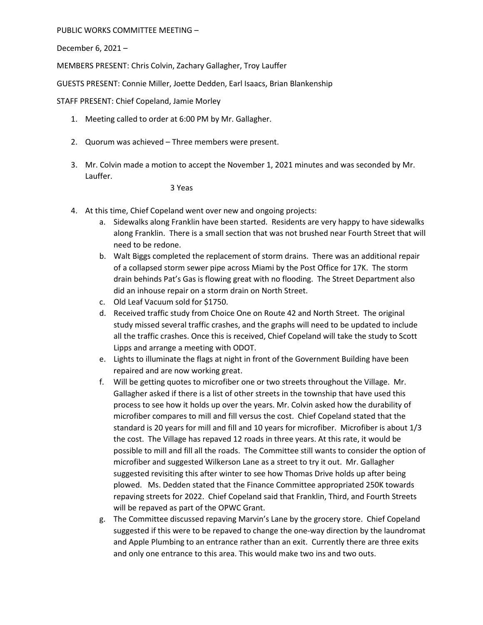PUBLIC WORKS COMMITTEE MEETING –

December 6, 2021 –

MEMBERS PRESENT: Chris Colvin, Zachary Gallagher, Troy Lauffer

GUESTS PRESENT: Connie Miller, Joette Dedden, Earl Isaacs, Brian Blankenship

STAFF PRESENT: Chief Copeland, Jamie Morley

- 1. Meeting called to order at 6:00 PM by Mr. Gallagher.
- 2. Quorum was achieved Three members were present.
- 3. Mr. Colvin made a motion to accept the November 1, 2021 minutes and was seconded by Mr. Lauffer.

3 Yeas

- 4. At this time, Chief Copeland went over new and ongoing projects:
	- a. Sidewalks along Franklin have been started. Residents are very happy to have sidewalks along Franklin. There is a small section that was not brushed near Fourth Street that will need to be redone.
	- b. Walt Biggs completed the replacement of storm drains. There was an additional repair of a collapsed storm sewer pipe across Miami by the Post Office for 17K. The storm drain behinds Pat's Gas is flowing great with no flooding. The Street Department also did an inhouse repair on a storm drain on North Street.
	- c. Old Leaf Vacuum sold for \$1750.
	- d. Received traffic study from Choice One on Route 42 and North Street. The original study missed several traffic crashes, and the graphs will need to be updated to include all the traffic crashes. Once this is received, Chief Copeland will take the study to Scott Lipps and arrange a meeting with ODOT.
	- e. Lights to illuminate the flags at night in front of the Government Building have been repaired and are now working great.
	- f. Will be getting quotes to microfiber one or two streets throughout the Village. Mr. Gallagher asked if there is a list of other streets in the township that have used this process to see how it holds up over the years. Mr. Colvin asked how the durability of microfiber compares to mill and fill versus the cost. Chief Copeland stated that the standard is 20 years for mill and fill and 10 years for microfiber. Microfiber is about 1/3 the cost. The Village has repaved 12 roads in three years. At this rate, it would be possible to mill and fill all the roads. The Committee still wants to consider the option of microfiber and suggested Wilkerson Lane as a street to try it out. Mr. Gallagher suggested revisiting this after winter to see how Thomas Drive holds up after being plowed. Ms. Dedden stated that the Finance Committee appropriated 250K towards repaving streets for 2022. Chief Copeland said that Franklin, Third, and Fourth Streets will be repaved as part of the OPWC Grant.
	- g. The Committee discussed repaving Marvin's Lane by the grocery store. Chief Copeland suggested if this were to be repaved to change the one-way direction by the laundromat and Apple Plumbing to an entrance rather than an exit. Currently there are three exits and only one entrance to this area. This would make two ins and two outs.